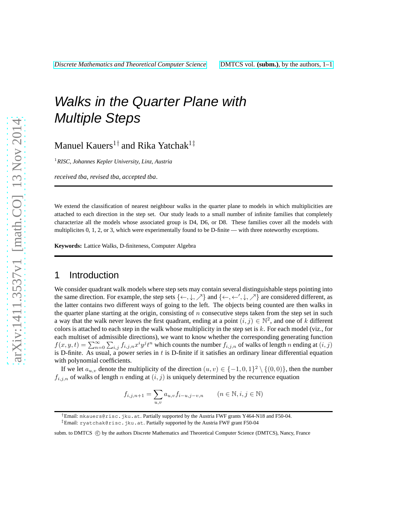# Walks in the Quarter Plane with Multiple Steps

Manuel Kauers $^{1\dagger}$  and Rika Yatchak $^{1\dagger}$ 

<sup>1</sup>*RISC, Johannes Kepler University, Linz, Austria*

*received tba*, *revised tba*, *accepted tba*.

We extend the classification of nearest neighbour walks in the quarter plane to models in which multiplicities are attached to each direction in the step set. Our study leads to a small number of infinite families that completely characterize all the models whose associated group is D4, D6, or D8. These families cover all the models with multiplicites 0, 1, 2, or 3, which were experimentally found to be D-finite — with three noteworthy exceptions.

**Keywords:** Lattice Walks, D-finiteness, Computer Algebra

# 1 Introduction

We consider quadrant walk models where step sets may contain several distinguishable steps pointing into the same direction. For example, the step sets  $\{\leftarrow, \downarrow, \nearrow\}$  and  $\{\leftarrow, \leftarrow', \downarrow, \nearrow\}$  are considered different, as the latter contains two different ways of going to the left. The objects being counted are then walks in the quarter plane starting at the origin, consisting of  $n$  consecutive steps taken from the step set in such a way that the walk never leaves the first quadrant, ending at a point  $(i, j) \in \mathbb{N}^2$ , and one of k different colors is attached to each step in the walk whose multiplicity in the step set is  $k$ . For each model (viz., for each multiset of admissible directions), we want to know whether the corresponding generating function  $f(x,y,t) = \sum_{n=0}^{\infty} \sum_{i,j} f_{i,j,n} x^i y^j t^n$  which counts the number  $f_{i,j,n}$  of walks of length n ending at  $(i, j)$ is D-finite. As usual, a power series in  $t$  is D-finite if it satisfies an ordinary linear differential equation with polynomial coefficients.

If we let  $a_{u,v}$  denote the multiplicity of the direction  $(u, v) \in \{-1, 0, 1\}^2 \setminus \{(0, 0)\}\)$ , then the number  $f_{i,j,n}$  of walks of length n ending at  $(i, j)$  is uniquely determined by the recurrence equation

$$
f_{i,j,n+1} = \sum_{u,v} a_{u,v} f_{i-u,j-v,n} \qquad (n \in \mathbb{N}, i, j \in \mathbb{N})
$$

†Email: mkauers@risc.jku.at. Partially supported by the Austria FWF grants Y464-N18 and F50-04. ‡Email: ryatchak@risc.jku.at. Partially supported by the Austria FWF grant F50-04

subm. to DMTCS (C) by the authors Discrete Mathematics and Theoretical Computer Science (DMTCS), Nancy, France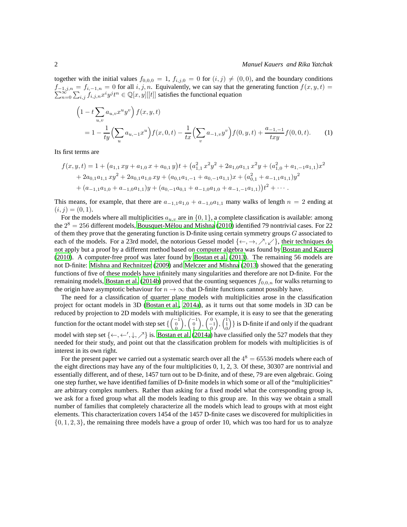together with the initial values  $f_{0,0,0} = 1$ ,  $f_{i,j,0} = 0$  for  $(i, j) \neq (0, 0)$ , and the boundary conditions  $\sum$  $f_{-1,j,n} = f_{i,-1,n} = 0$  for all  $i, j, n$ . Equivalently, we can say that the generating function  $f(x, y, t) = \sum_{n=0}^{\infty} \sum_{i,j} f_{i,j,n} x^i y^j t^n \in \mathbb{Q}[x, y][[t]]$  satisfies the functional equation

<span id="page-1-0"></span>
$$
\left(1 - t \sum_{u,v} a_{u,v} x^u y^v \right) f(x, y, t)
$$
  
=  $1 - \frac{1}{ty} \left( \sum_u a_{u,-1} x^u \right) f(x, 0, t) - \frac{1}{tx} \left( \sum_v a_{-1,v} y^v \right) f(0, y, t) + \frac{a_{-1,-1}}{txy} f(0, 0, t).$  (1)

Its first terms are

$$
f(x, y, t) = 1 + (a_{1,1} xy + a_{1,0} x + a_{0,1} y)t + (a_{1,1}^2 x^2 y^2 + 2a_{1,0} a_{1,1} x^2 y + (a_{1,0}^2 + a_{1,-1} a_{1,1}) x^2 + 2a_{0,1} a_{1,1} xy^2 + 2a_{0,1} a_{1,0} xy + (a_{0,1} a_{1,-1} + a_{0,-1} a_{1,1}) x + (a_{0,1}^2 + a_{-1,1} a_{1,1}) y^2 + (a_{-1,1} a_{1,0} + a_{-1,0} a_{1,1}) y + (a_{0,-1} a_{0,1} + a_{-1,0} a_{1,0} + a_{-1,-1} a_{1,1})) t^2 + \cdots
$$

This means, for example, that there are  $a_{-1,1}a_{1,0} + a_{-1,0}a_{1,1}$  many walks of length  $n = 2$  ending at  $(i, j) = (0, 1).$ 

For the models where all multiplicities  $a_{u,v}$  are in  $\{0,1\}$ , a complete classification is available: among the  $2^8 = 256$  different models, Bousquet-Mélou and Mishna [\(2010\)](#page-11-0) identified 79 nontrivial cases. For 22 of them they prove that the generating function is D-finite using certain symmetry groups  $G$  associated to each of the models. For a 23rd model, the notorious Gessel model  $\{\leftarrow, \rightarrow, \nearrow, \swarrow\}$ , their techniques do not apply but a proof by a different method based on computer algebra was found by [Bostan and Kauers](#page-11-1) [\(2010](#page-11-1)). A computer-free proof was later found by [Bostan et al. \(2013\)](#page-11-2). The remaining 56 models are not D-finite: [Mishna and Rechnitzer \(2009](#page-11-3)) and [Melczer and Mishna \(2013\)](#page-11-4) showed that the generating functions of five of these models have infinitely many singularities and therefore are not D-finite. For the remaining models, [Bostan et al. \(2014b\)](#page-11-5) proved that the counting sequences  $f_{0,0,n}$  for walks returning to the origin have asymptotic behaviour for  $n \to \infty$  that D-finite functions cannot possibly have.

The need for a classification of quarter plane models with multiplicities arose in the classification project for octant models in 3D [\(Bostan et al.](#page-11-6), [2014a\)](#page-11-6), as it turns out that some models in 3D can be reduced by projection to 2D models with multiplicities. For example, it is easy to see that the generating function for the octant model with step set  $\left\{ \begin{pmatrix} -1 \\ 0 \\ 0 \end{pmatrix} \right\}$  $\Big), \Big(\begin{smallmatrix} -1 \\ 0 \\ 1 \end{smallmatrix}\Big)$  $\Big), \Big(_{-1}^{0}$  $\Big), \Big(\begin{matrix} 1 \\ 1 \\ 0 \end{matrix}\Big)$  } is D-finite if and only if the quadrant model with step set  $\{\leftarrow, \leftarrow', \downarrow, \nearrow\}$  is. [Bostan et al. \(2014a\)](#page-11-6) have classified only the 527 models that they needed for their study, and point out that the classification problem for models with multiplicities is of interest in its own right.

For the present paper we carried out a systematic search over all the  $4^8 = 65536$  models where each of the eight directions may have any of the four multiplicities 0, 1, 2, 3. Of these, 30307 are nontrivial and essentially different, and of these, 1457 turn out to be D-finite, and of these, 79 are even algebraic. Going one step further, we have identified families of D-finite models in which some or all of the "multiplicities" are arbitrary complex numbers. Rather than asking for a fixed model what the corresponding group is, we ask for a fixed group what all the models leading to this group are. In this way we obtain a small number of families that completely characterize all the models which lead to groups with at most eight elements. This characterization covers 1454 of the 1457 D-finite cases we discovered for multiplicities in  $\{0, 1, 2, 3\}$ , the remaining three models have a group of order 10, which was too hard for us to analyze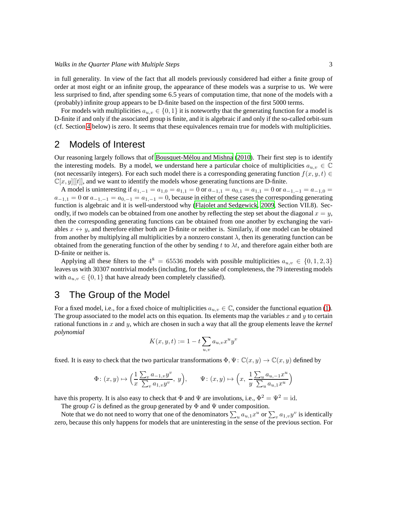in full generality. In view of the fact that all models previously considered had either a finite group of order at most eight or an infinite group, the appearance of these models was a surprise to us. We were less surprised to find, after spending some 6.5 years of computation time, that none of the models with a (probably) infinite group appears to be D-finite based on the inspection of the first 5000 terms.

For models with multiplicities  $a_{u,v} \in \{0,1\}$  it is noteworthy that the generating function for a model is D-finite if and only if the associated group is finite, and it is algebraic if and only if the so-called orbit-sum (cf. Section [4](#page-3-0) below) is zero. It seems that these equivalences remain true for models with multiplicities.

# 2 Models of Interest

Our reasoning largely follows that of Bousquet-Mélou and Mishna (2010). Their first step is to identify the interesting models. By a model, we understand here a particular choice of multiplicities  $a_{u,v} \in \mathbb{C}$ (not necessarily integers). For each such model there is a corresponding generating function  $f(x, y, t) \in$  $\mathbb{C}[x, y][t]$ , and we want to identify the models whose generating functions are D-finite.

A model is uninteresting if  $a_{1,-1} = a_{1,0} = a_{1,1} = 0$  or  $a_{-1,1} = a_{0,1} = a_{1,1} = 0$  or  $a_{-1,-1} = a_{-1,0} = a_{-1,0}$  $a_{-1,1} = 0$  or  $a_{-1,-1} = a_{0,-1} = a_{1,-1} = 0$ , because in either of these cases the corresponding generating function is algebraic and it is well-understood why [\(Flajolet and Sedgewick](#page-11-7), [2009,](#page-11-7) Section VII.8). Secondly, if two models can be obtained from one another by reflecting the step set about the diagonal  $x = y$ , then the corresponding generating functions can be obtained from one another by exchanging the variables  $x \leftrightarrow y$ , and therefore either both are D-finite or neither is. Similarly, if one model can be obtained from another by multiplying all multiplicities by a nonzero constant  $\lambda$ , then its generating function can be obtained from the generating function of the other by sending t to  $\lambda t$ , and therefore again either both are D-finite or neither is.

Applying all these filters to the  $4^8 = 65536$  models with possible multiplicities  $a_{u,v} \in \{0,1,2,3\}$ leaves us with 30307 nontrivial models (including, for the sake of completeness, the 79 interesting models with  $a_{u,v} \in \{0,1\}$  that have already been completely classified).

## 3 The Group of the Model

For a fixed model, i.e., for a fixed choice of multiplicities  $a_{u,v} \in \mathbb{C}$ , consider the functional equation [\(1\)](#page-1-0). The group associated to the model acts on this equation. Its elements map the variables x and y to certain rational functions in x and y, which are chosen in such a way that all the group elements leave the *kernel polynomial*

$$
K(x, y, t) := 1 - t \sum_{u, v} a_{u, v} x^u y^v
$$

fixed. It is easy to check that the two particular transformations  $\Phi$ ,  $\Psi$ :  $\mathbb{C}(x, y) \to \mathbb{C}(x, y)$  defined by

$$
\Phi\colon (x,y)\mapsto \Big(\frac{1}{x}\frac{\sum_v a_{-1,v}y^v}{\sum_v a_{1,v}y^v},\ y\Big),\qquad \Psi\colon (x,y)\mapsto \Big(x,\ \frac{1}{y}\frac{\sum_u a_{u,-1}x^u}{\sum_u a_{u,1}x^u}\Big)
$$

have this property. It is also easy to check that  $\Phi$  and  $\Psi$  are involutions, i.e.,  $\Phi^2 = \Psi^2 = id$ .

The group G is defined as the group generated by  $\Phi$  and  $\Psi$  under composition.

Note that we do not need to worry that one of the denominators  $\sum_{u}a_{u,1}x^u$  or  $\sum_{v}a_{1,v}y^v$  is identically zero, because this only happens for models that are uninteresting in the sense of the previous section. For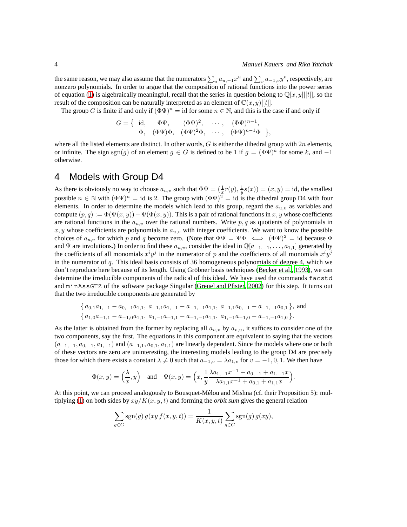,

the same reason, we may also assume that the numerators  $\sum_u a_{u,-1}x^u$  and  $\sum_v a_{-1,v}y^v$ , respectively, are nonzero polynomials. In order to argue that the composition of rational functions into the power series of equation [\(1\)](#page-1-0) is algebraically meaningful, recall that the series in question belong to  $\mathbb{Q}[x, y][t]$ , so the result of the composition can be naturally interpreted as an element of  $\mathbb{C}(x, y)[[t]]$ .

The group G is finite if and only if  $(\Phi \Psi)^n = id$  for some  $n \in \mathbb{N}$ , and this is the case if and only if

$$
G = \left\{ \begin{array}{rcl} \mathrm{id}, & \Phi \Psi, & (\Phi \Psi)^2, & \cdots, & (\Phi \Psi)^{n-1}, \\ \Phi, & (\Phi \Psi) \Phi, & (\Phi \Psi)^2 \Phi, & \cdots, & (\Phi \Psi)^{n-1} \Phi \end{array} \right\}
$$

where all the listed elements are distinct. In other words,  $G$  is either the dihedral group with  $2n$  elements, or infinite. The sign sgn(g) of an element  $g \in G$  is defined to be 1 if  $g = (\Phi \Psi)^k$  for some k, and  $-1$ otherwise.

# <span id="page-3-0"></span>4 Models with Group D4

As there is obviously no way to choose  $a_{u,v}$  such that  $\Phi\Psi = (\frac{1}{x}r(y), \frac{1}{y}s(x)) = (x, y) = id$ , the smallest possible  $n \in \mathbb{N}$  with  $(\Phi \Psi)^n = id$  is 2. The group with  $(\Phi \Psi)^2 = id$  is the dihedral group D4 with four elements. In order to determine the models which lead to this group, regard the  $a_{u,v}$  as variables and compute  $(p, q) := \Phi(\Psi(x, y)) - \Psi(\Phi(x, y))$ . This is a pair of rational functions in x, y whose coefficients are rational functions in the  $a_{u,v}$  over the rational numbers. Write p, q as quotients of polynomials in x, y whose coefficients are polynomials in  $a_{u,v}$  with integer coefficients. We want to know the possible choices of  $a_{u,v}$  for which p and q become zero. (Note that  $\Phi\Psi = \Psi\Phi \iff (\Phi\Psi)^2 = id$  because  $\Phi$ and  $\Psi$  are involutions.) In order to find these  $a_{u,v}$ , consider the ideal in  $\mathbb{Q}[a_{-1,-1},\ldots,a_{1,1}]$  generated by the coefficients of all monomials  $x^i y^j$  in the numerator of p and the coefficients of all monomials  $x^i y^j$ in the numerator of q. This ideal basis consists of 36 homogeneous polynomials of degree 4, which we don't reproduce here because of its length. Using Gröbner basis techniques [\(Becker et al., 1993\)](#page-11-8), we can determine the irreducible components of the radical of this ideal. We have used the commands facstd and minAssGTZ of the software package Singular [\(Greuel and Pfister](#page-11-9), [2002\)](#page-11-9) for this step. It turns out that the two irreducible components are generated by

$$
\{a_{0,1}a_{1,-1}-a_{0,-1}a_{1,1}, a_{-1,1}a_{1,-1}-a_{-1,-1}a_{1,1}, a_{-1,1}a_{0,-1}-a_{-1,-1}a_{0,1}\}, \text{ and } \{a_{1,0}a_{-1,1}-a_{-1,0}a_{1,1}, a_{1,-1}a_{-1,1}-a_{-1,-1}a_{1,1}, a_{1,-1}a_{-1,0}-a_{-1,-1}a_{1,0}\}.
$$

As the latter is obtained from the former by replacing all  $a_{u,v}$  by  $a_{v,u}$ , it suffices to consider one of the two components, say the first. The equations in this component are equivalent to saying that the vectors  $(a_{-1,-1}, a_{0,-1}, a_{1,-1})$  and  $(a_{-1,1}, a_{0,1}, a_{1,1})$  are linearly dependent. Since the models where one or both of these vectors are zero are uninteresting, the interesting models leading to the group D4 are precisely those for which there exists a constant  $\lambda \neq 0$  such that  $a_{-1,v} = \lambda a_{1,v}$  for  $v = -1, 0, 1$ . We then have

$$
\Phi(x,y) = \left(\frac{\lambda}{x},y\right) \quad \text{and} \quad \Psi(x,y) = \left(x, \frac{1}{y} \frac{\lambda a_{1,-1} x^{-1} + a_{0,-1} + a_{1,-1} x}{\lambda a_{1,1} x^{-1} + a_{0,1} + a_{1,1} x}\right).
$$

At this point, we can proceed analogously to Bousquet-Mélou and Mishna (cf. their Proposition 5): mul-tiplying [\(1\)](#page-1-0) on both sides by  $xy/K(x, y, t)$  and forming the *orbit sum* gives the general relation

$$
\sum_{g \in G} \operatorname{sgn}(g) g(xy f(x, y, t)) = \frac{1}{K(x, y, t)} \sum_{g \in G} \operatorname{sgn}(g) g(xy),
$$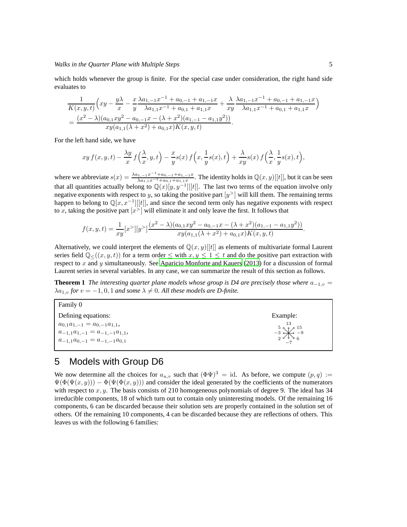which holds whenever the group is finite. For the special case under consideration, the right hand side evaluates to

$$
\frac{1}{K(x,y,t)} \left( xy - \frac{y\lambda}{x} - \frac{x\lambda a_{1,-1}x^{-1} + a_{0,-1} + a_{1,-1}x}{y\lambda a_{1,1}x^{-1} + a_{0,1} + a_{1,1}x} + \frac{\lambda}{xy} \frac{\lambda a_{1,-1}x^{-1} + a_{0,-1} + a_{1,-1}x}{\lambda a_{1,1}x^{-1} + a_{0,1} + a_{1,1}x} \right)
$$
\n
$$
= \frac{(x^2 - \lambda)(a_{0,1}xy^2 - a_{0,-1}x - (\lambda + x^2)(a_{1,-1} - a_{1,1}y^2))}{xy(a_{1,1}(\lambda + x^2) + a_{0,1}x)K(x,y,t)}.
$$

For the left hand side, we have

$$
xy f(x, y, t) - \frac{\lambda y}{x} f\left(\frac{\lambda}{x}, y, t\right) - \frac{x}{y} s(x) f\left(x, \frac{1}{y} s(x), t\right) + \frac{\lambda}{xy} s(x) f\left(\frac{\lambda}{x}, \frac{1}{y} s(x), t\right),
$$

where we abbreviate  $s(x) = \frac{\lambda a_{1,-1}x^{-1} + a_{0,-1} + a_{1,-1}x}{\lambda a_{1,1}x^{-1} + a_{0,1} + a_{1,1}x}$  $\frac{\lambda_{1,-1}x_1+a_{0,-1}+a_{1,-1}x_1}{\lambda_{a_{1,1}x}-1+a_{0,1}+a_{1,1}x}$ . The identity holds in  $\mathbb{Q}(x, y)[[t]]$ , but it can be seen that all quantities actually belong to  $\mathbb{Q}(x)[y, y^{-1}][[t]]$ . The last two terms of the equation involve only negative exponents with respect to y, so taking the positive part  $[y^>]$  will kill them. The remaining terms happen to belong to  $\mathbb{Q}[x, x^{-1}][[t]]$ , and since the second term only has negative exponents with respect to x, taking the positive part  $[x^>]$  will eliminate it and only leave the first. It follows that

$$
f(x,y,t) = \frac{1}{xy} [x^>][y^>]\frac{(x^2 - \lambda)(a_{0,1}xy^2 - a_{0,-1}x - (\lambda + x^2)(a_{1,-1} - a_{1,1}y^2))}{xy(a_{1,1}(\lambda + x^2) + a_{0,1}x)K(x,y,t)}.
$$

Alternatively, we could interpret the elements of  $\mathbb{Q}(x, y)$ ||t|| as elements of multivariate formal Laurent series field  $\mathbb{Q}_{\leq}((x, y, t))$  for a term order  $\leq$  with  $x, y \leq 1 \leq t$  and do the positive part extraction with respect to  $x$  and  $y$  simultaneously. See [Aparicio Monforte and Kauers \(2013](#page-11-10)) for a discussion of formal Laurent series in several variables. In any case, we can summarize the result of this section as follows.

**Theorem 1** *The interesting quarter plane models whose group is D4 are precisely those where*  $a_{-1,v}$  =  $\lambda a_{1,v}$  *for*  $v = -1, 0, 1$  *and some*  $\lambda \neq 0$ *. All these models are D-finite.* 

Family 0 Defining equations:  $a_{0,1}a_{1,-1} = a_{0,-1}a_{1,1},$  $a_{-1,1}a_{1,-1} = a_{-1,-1}a_{1,1}$  $a_{-1,1}a_{0,-1} = a_{-1,-1}a_{0,1}$ 

# 5 Models with Group D6

We now determine all the choices for  $a_{u,v}$  such that  $(\Phi \Psi)^3 = id$ . As before, we compute  $(p, q) :=$  $\Psi(\Phi(\Psi(x, y))) - \Phi(\Psi(\Phi(x, y)))$  and consider the ideal generated by the coefficients of the numerators with respect to  $x, y$ . The basis consists of 210 homogeneous polynomials of degree 9. The ideal has 34 irreducible components, 18 of which turn out to contain only uninteresting models. Of the remaining 16 components, 6 can be discarded because their solution sets are properly contained in the solution set of others. Of the remaining 10 components, 4 can be discarded because they are reflections of others. This leaves us with the following 6 families:

Example:

−7

6 −9 15

13

2 −3 5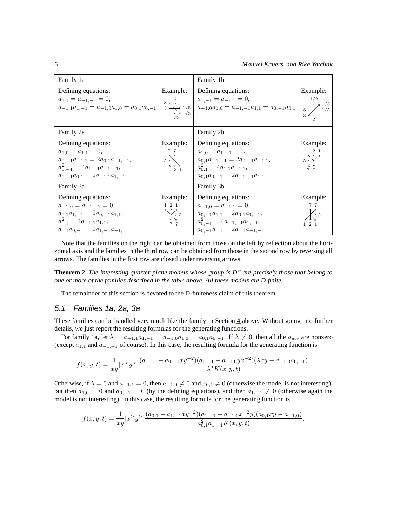| Family 1a                             |                                       | Family 1b                                                                                                                                                                                                                                                                                                                                |                   |
|---------------------------------------|---------------------------------------|------------------------------------------------------------------------------------------------------------------------------------------------------------------------------------------------------------------------------------------------------------------------------------------------------------------------------------------|-------------------|
| Defining equations:                   | Example:                              | Defining equations:                                                                                                                                                                                                                                                                                                                      | Example:          |
|                                       |                                       |                                                                                                                                                                                                                                                                                                                                          |                   |
|                                       |                                       | $\begin{array}{lllll} a_{1,1} = a_{-1,-1} = 0, & & 3 & 2 & 4 & 0 \\ a_{-1,1}a_{1,-1} = a_{-1,0}a_{1,0} = a_{0,1}a_{0,-1} & & 5 & 1/5 & 4 & 1/5 \\ & & & & & 1/3 & 4 & 1/3 & 4 & 1/3 \\ \end{array} \begin{array}{lllllll} a_{1,-1} = a_{-1,1} = 0, & & 1/2 & 1/3 \\ a_{-1,0}a_{1,0} = a_{-1,-1}a_{1,1} = a_{0,-1}a_{0,1} & & 5 & 1/3 \\$ |                   |
|                                       |                                       |                                                                                                                                                                                                                                                                                                                                          |                   |
| Family 2a                             |                                       | Family 2b                                                                                                                                                                                                                                                                                                                                |                   |
| Defining equations:                   | Example:                              | Defining equations:                                                                                                                                                                                                                                                                                                                      | Example:          |
| $a_{1,0} = a_{1,1} = 0,$              | 77                                    | $a_{1,0} = a_{1,-1} = 0,$                                                                                                                                                                                                                                                                                                                | $1\quad 2\quad 1$ |
| $a_{0,-1}a_{-1,1}=2a_{0,1}a_{-1,-1},$ | $5\frac{1}{2}$                        | $a_{0,1}a_{-1,-1} = 2a_{0,-1}a_{-1,1}$                                                                                                                                                                                                                                                                                                   |                   |
| $a_{0-1}^2 = 4a_{1,-1}a_{-1,-1}$      | $1\quad 2\quad 1$                     | $a_{0,1}^2 = 4a_{1,1}a_{-1,1}$                                                                                                                                                                                                                                                                                                           | 77                |
| $a_{0,-1}a_{0,1}=2a_{-1,1}a_{1,-1}$   |                                       | $a_{0,1}a_{0,-1}=2a_{-1,-1}a_{1,1}$                                                                                                                                                                                                                                                                                                      |                   |
| Family 3a                             |                                       | Family 3b                                                                                                                                                                                                                                                                                                                                |                   |
| Defining equations:                   | Example:                              | Defining equations:                                                                                                                                                                                                                                                                                                                      | Example:          |
| $a_{-1,0} = a_{-1,-1} = 0,$           | $1\quad 2\quad 1$                     | $a_{-1,0} = a_{-1,1} = 0$ ,                                                                                                                                                                                                                                                                                                              | 77                |
| $a_{0,1}a_{1,-1}=2a_{0,-1}a_{1,1},$   | $\operatorname{\bigtriangledown_{5}}$ | $a_{0,-1}a_{1,1}=2a_{0,1}a_{1,-1},$                                                                                                                                                                                                                                                                                                      |                   |
| $a_{0.1}^2 = 4a_{-1,1}a_{1,1},$       | 7 7                                   | $a_{0,-1}^2 = 4a_{-1,-1}a_{1,-1},$                                                                                                                                                                                                                                                                                                       | $1 \t2 \t1$       |
| $a_{0,1}a_{0,-1}=2a_{1,-1}a_{-1,1}$   |                                       | $a_{0,-1}a_{0,1}=2a_{1,1}a_{-1,-1}$                                                                                                                                                                                                                                                                                                      |                   |

Note that the families on the right can be obtained from those on the left by reflection about the horizontal axis and the families in the third row can be obtained from those in the second row by reversing all arrows. The families in the first row are closed under reversing arrows.

**Theorem 2** *The interesting quarter plane models whose group is D6 are precisely those that belong to one or more of the families described in the table above. All these models are D-finite.*

The remainder of this section is devoted to the D-finiteness claim of this theorem.

### 5.1 Families 1a, 2a, 3a

These families can be handled very much like the family in Section [4](#page-3-0) above. Without going into further details, we just report the resulting formulas for the generating functions.

For family 1a, let  $\lambda = a_{-1,1}a_{1,-1} = a_{-1,0}a_{1,0} = a_{0,1}a_{0,-1}$ . If  $\lambda \neq 0$ , then all the  $a_{u,v}$  are nonzero (except  $a_{1,1}$  and  $a_{-1,-1}$  of course). In this case, the resulting formula for the generating function is

$$
f(x,y,t) = \frac{1}{xy} [x^>y^>] \frac{(a_{-1,1} - a_{0,-1}xy^{-2})(a_{1,-1} - a_{-1,0}yx^{-2})(\lambda xy - a_{-1,0}a_{0,-1})}{\lambda^2 K(x,y,t)}.
$$

Otherwise, if  $\lambda = 0$  and  $a_{-1,1} = 0$ , then  $a_{-1,0} \neq 0$  and  $a_{0,1} \neq 0$  (otherwise the model is not interesting), but then  $a_{1,0} = 0$  and  $a_{0,-1} = 0$  (by the defining equations), and then  $a_{1,-1} \neq 0$  (otherwise again the model is not interesting). In this case, the resulting formula for the generating function is

$$
f(x,y,t) = \frac{1}{xy} [x^>y^>] \frac{(a_{0,1} - a_{1,-1}xy^{-2})(a_{1,-1} - a_{-1,0}x^{-2}y)(a_{0,1}xy - a_{-1,0})}{a_{0,1}^2 a_{1,-1} K(x,y,t)}.
$$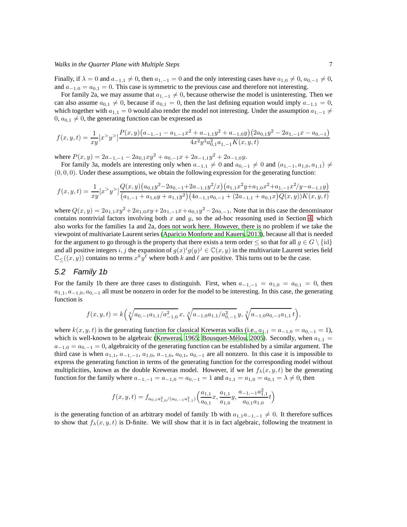Finally, if  $\lambda = 0$  and  $a_{-1,1} \neq 0$ , then  $a_{1,-1} = 0$  and the only interesting cases have  $a_{1,0} \neq 0$ ,  $a_{0,-1} \neq 0$ , and  $a_{-1,0} = a_{0,1} = 0$ . This case is symmetric to the previous case and therefore not interesting.

For family 2a, we may assume that  $a_{1,-1} \neq 0$ , because otherwise the model is uninteresting. Then we can also assume  $a_{0,1} \neq 0$ , because if  $a_{0,1} = 0$ , then the last defining equation would imply  $a_{-1,1} = 0$ , which together with  $a_{1,1} = 0$  would also render the model not interesting. Under the assumption  $a_{1,-1} \neq a_{1,1}$  $0, a_{0,1} \neq 0$ , the generating function can be expressed as

$$
f(x,y,t) = \frac{1}{xy} [x^y - y^z] \frac{P(x,y)(a_{-1,-1} - a_{1,-1}x^2 + a_{-1,1}y^2 + a_{-1,0}y)(2a_{0,1}y^2 - 2a_{1,-1}x - a_{0,-1})}{4x^2y^3a_{0,1}^2a_{1,-1}K(x,y,t)}
$$

where  $P(x, y) = 2a_{-1,-1} - 2a_{0,1}xy^2 + a_{0,-1}x + 2a_{-1,1}y^2 + 2a_{-1,0}y$ .

For family 3a, models are interesting only when  $a_{-1,1} \neq 0$  and  $a_{0,-1} \neq 0$  and  $(a_{1,-1}, a_{1,0}, a_{1,1}) \neq a_{0}$  $(0, 0, 0)$ . Under these assumptions, we obtain the following expression for the generating function:

$$
f(x,y,t) = \frac{1}{xy} [x^>y^>] \frac{Q(x,y) (a_{0,1}y^2 - 2a_{0,-1} + 2a_{-1,1}y^2/x) (a_{1,1}x^2y + a_{1,0}x^2 + a_{1,-1}x^2/y - a_{-1,1}y)}{(a_{1,-1} + a_{1,0}y + a_{1,1}y^2) (4a_{-1,1}a_{0,-1} + (2a_{-1,1} + a_{0,1}x)Q(x,y))K(x,y,t)}
$$

where  $Q(x, y) = 2a_{1,1}xy^2 + 2a_{1,0}xy + 2a_{1,-1}x + a_{0,1}y^2 - 2a_{0,-1}$ . Note that in this case the denominator contains nontrivial factors involving both  $x$  and  $y$ , so the ad-hoc reasoning used in Section [4,](#page-3-0) which also works for the families 1a and 2a, does not work here. However, there is no problem if we take the viewpoint of multivariate Laurent series [\(Aparicio Monforte and Kauers, 2013\)](#page-11-10), because all that is needed for the argument to go through is the property that there exists a term order  $\leq$  so that for all  $q \in G \setminus \{id\}$ and all positive integers i, j the expansion of  $g(x)^{i}g(y)^{j} \in \mathbb{C}(x, y)$  in the multivariate Laurent series field  $\mathbb{C}_{\leq}((x, y))$  contains no terms  $x^k y^{\ell}$  where both k and  $\ell$  are positive. This turns out to be the case.

#### <span id="page-6-0"></span>5.2 Family 1b

For the family 1b there are three cases to distinguish. First, when  $a_{-1,-1} = a_{1,0} = a_{0,1} = 0$ , then  $a_{1,1}, a_{-1,0}, a_{0,-1}$  all must be nonzero in order for the model to be interesting. In this case, the generating function is

$$
f(x,y,t) = k \left( \sqrt[3]{a_{0,-1}a_{1,1}/a_{-1,0}^2} x, \sqrt[3]{a_{-1,0}a_{1,1}/a_{0,-1}^2} y, \sqrt[3]{a_{-1,0}a_{0,-1}a_{1,1}} t \right),
$$

where  $k(x, y, t)$  is the generating function for classical Kreweras walks (i.e.,  $a_{1,1} = a_{-1,0} = a_{0,-1} = 1$ ), which is well-known to be algebraic [\(Kreweras, 1965](#page-11-11); Bousquet-Mélou, 2005). Secondly, when  $a_{1,1} =$  $a_{-1,0} = a_{0,-1} = 0$ , algebraicity of the generating function can be established by a similar argument. The third case is when  $a_{1,1}$ ,  $a_{-1,-1}$ ,  $a_{1,0}$ ,  $a_{-1,0}$ ,  $a_{0,1}$ ,  $a_{0,-1}$  are all nonzero. In this case it is impossible to express the generating function in terms of the generating function for the corresponding model without multiplicities, known as the double Kreweras model. However, if we let  $f_{\lambda}(x, y, t)$  be the generating function for the family where  $a_{-1,-1} = a_{-1,0} = a_{0,-1} = 1$  and  $a_{1,1} = a_{1,0} = a_{0,1} = \lambda \neq 0$ , then

$$
f(x,y,t) = f_{a_{0,1}a_{1,0}^2/(a_{0,-1}a_{1,1}^2)}\left(\frac{a_{1,1}}{a_{0,1}}x, \frac{a_{1,1}}{a_{1,0}}y, \frac{a_{-1,-1}a_{1,1}^2}{a_{0,1}a_{1,0}}t\right)
$$

is the generating function of an arbitrary model of family 1b with  $a_{1,1}a_{-1,-1} \neq 0$ . It therefore suffices to show that  $f_{\lambda}(x, y, t)$  is D-finite. We will show that it is in fact algebraic, following the treatment in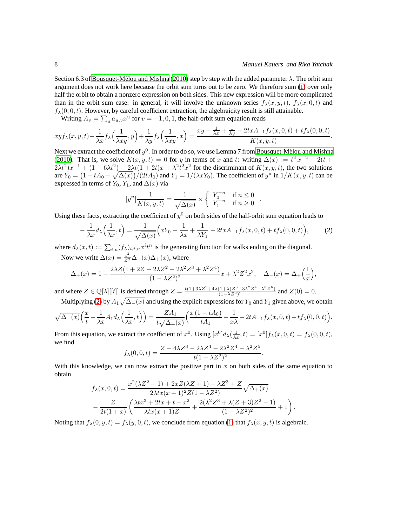.

.

Section 6.3 of Bousquet-Mélou and Mishna (2010) step by step with the added parameter  $\lambda$ . The orbit sum argument does not work here because the orbit sum turns out to be zero. We therefore sum [\(1\)](#page-1-0) over only half the orbit to obtain a nonzero expression on both sides. This new expression will be more complicated than in the orbit sum case: in general, it will involve the unknown series  $f_{\lambda}(x, y, t)$ ,  $f_{\lambda}(x, 0, t)$  and  $f_{\lambda}(0, 0, t)$ . However, by careful coefficient extraction, the algebraicity result is still attainable.

Writing  $A_v = \sum_u a_{u,v} x^u$  for  $v = -1, 0, 1$ , the half-orbit sum equation reads

$$
xyf_{\lambda}(x,y,t) - \frac{1}{\lambda x}f_{\lambda}\left(\frac{1}{\lambda xy},y\right) + \frac{1}{\lambda y}f_{\lambda}\left(\frac{1}{\lambda xy},x\right) = \frac{xy - \frac{1}{\lambda x} + \frac{1}{\lambda y} - 2txA_{-1}f_{\lambda}(x,0,t) + tf_{\lambda}(0,0,t)}{K(x,y,t)}.
$$

Next we extract the coefficient of  $y^0.$  In order to do so, we use Lemma 7 from Bousquet-Mélou and Mishna [\(2010](#page-11-0)). That is, we solve  $K(x, y, t) = 0$  for y in terms of x and t: writing  $\Delta(x) := t^2 x^{-2} - 2(t +$  $2\lambda t^2(x^{-1} + (1 - 6\lambda t^2) - 2\lambda t(1 + 2t)x + \lambda^2 t^2 x^2$  for the discriminant of  $K(x, y, t)$ , the two solutions are  $Y_0 = (1 - tA_0 - \sqrt{\Delta(x)})/(2tA_0)$  and  $Y_1 = 1/(\lambda x Y_0)$ . The coefficient of  $y^n$  in  $1/K(x, y, t)$  can be expressed in terms of  $Y_0$ ,  $Y_1$ , and  $\Delta(x)$  via

$$
[y^{n}] \frac{1}{K(x, y, t)} = \frac{1}{\sqrt{\Delta(x)}} \times \begin{cases} Y_0^{-n} & \text{if } n \le 0 \\ Y_1^{-n} & \text{if } n \ge 0 \end{cases}
$$

Using these facts, extracting the coefficient of  $y^0$  on both sides of the half-orbit sum equation leads to

<span id="page-7-0"></span>
$$
-\frac{1}{\lambda x}d_{\lambda}\left(\frac{1}{\lambda x},t\right) = \frac{1}{\sqrt{\Delta(x)}}\left(xY_0 - \frac{1}{\lambda x} + \frac{1}{\lambda Y_1} - 2txA_{-1}f_{\lambda}(x,0,t) + tf_{\lambda}(0,0,t)\right),\tag{2}
$$

where  $d_{\lambda}(x,t) := \sum_{i,n} (f_{\lambda})_{i,i,n} x^{i} t^{n}$  is the generating function for walks ending on the diagonal.

Now we write  $\Delta(x) = \frac{t^2}{Z^2} \Delta_-(x) \Delta_+(x)$ , where

$$
\Delta_{+}(x) = 1 - \frac{2\lambda Z(1 + 2Z + 2\lambda Z^{2} + 2\lambda^{2}Z^{3} + \lambda^{2}Z^{4})}{(1 - \lambda Z^{2})^{2}}x + \lambda^{2}Z^{2}x^{2}, \quad \Delta_{-}(x) = \Delta_{+}\left(\frac{1}{x}\right),
$$

and where  $Z \in \mathbb{Q}[\lambda][[t]]$  is defined through  $Z = \frac{t(1+3\lambda Z^2 + 4\lambda(1+\lambda)Z^3 + 3\lambda^2 Z^4 + \lambda^3 Z^6)}{(1-\lambda Z^2)^2}$  and  $Z(0) = 0$ .

Multiplying [\(2\)](#page-7-0) by  $A_1\sqrt{\Delta_-(x)}$  and using the explicit expressions for  $Y_0$  and  $Y_1$  given above, we obtain

$$
\sqrt{\Delta_{-}(x)}\left(\frac{x}{t}-\frac{1}{\lambda x}A_1d_{\lambda}\left(\frac{1}{\lambda x},t\right)\right)=\frac{ZA_1}{t\sqrt{\Delta_{+}(x)}}\left(\frac{x\left(1-tA_0\right)}{tA_1}-\frac{1}{x\lambda}-2tA_{-1}f_{\lambda}(x,0,t)+tf_{\lambda}(0,0,t)\right).
$$

From this equation, we extract the coefficient of  $x^0$ . Using  $[x^0]d_\lambda(\frac{1}{\lambda x}, t) = [x^0]f_\lambda(x, 0, t) = f_\lambda(0, 0, t)$ , we find

$$
f_{\lambda}(0,0,t) = \frac{Z - 4\lambda Z^3 - 2\lambda Z^4 - 2\lambda^2 Z^4 - \lambda^2 Z^5}{t(1 - \lambda Z^2)^2}
$$

With this knowledge, we can now extract the positive part in  $x$  on both sides of the same equation to obtain

$$
f_{\lambda}(x,0,t) = \frac{x^2(\lambda Z^2 - 1) + 2xZ(\lambda Z + 1) - \lambda Z^3 + Z}{2\lambda tx(x+1)^2 Z(1-\lambda Z^2)} \sqrt{\Delta_+(x)}
$$

$$
-\frac{Z}{2t(1+x)} \left(\frac{\lambda tx^3 + 2tx + t - x^2}{\lambda tx(x+1)Z} + \frac{2(\lambda^2 Z^3 + \lambda(Z+3)Z^2 - 1)}{(1-\lambda Z^2)^2} + 1\right).
$$

Noting that  $f_{\lambda}(0, y, t) = f_{\lambda}(y, 0, t)$ , we conclude from equation [\(1\)](#page-1-0) that  $f_{\lambda}(x, y, t)$  is algebraic.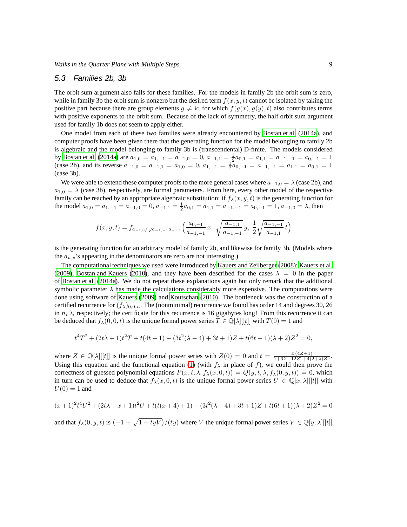#### <span id="page-8-0"></span>5.3 Families 2b, 3b

The orbit sum argument also fails for these families. For the models in family 2b the orbit sum is zero, while in family 3b the orbit sum is nonzero but the desired term  $f(x, y, t)$  cannot be isolated by taking the positive part because there are group elements  $q \neq id$  for which  $f(q(x), q(y), t)$  also contributes terms with positive exponents to the orbit sum. Because of the lack of symmetry, the half orbit sum argument used for family 1b does not seem to apply either.

One model from each of these two families were already encountered by [Bostan et al. \(2014a\)](#page-11-6), and computer proofs have been given there that the generating function for the model belonging to family 2b is algebraic and the model belonging to family 3b is (transcendental) D-finite. The models considered by [Bostan et al. \(2014a\)](#page-11-6) are  $a_{1,0} = a_{1,-1} = a_{-1,0} = 0$ ,  $a_{-1,1} = \frac{1}{2}a_{0,1} = a_{1,1} = a_{-1,-1} = a_{0,-1} = 1$ (case 2b), and its reverse  $a_{-1,0} = a_{-1,1} = a_{1,0} = 0$ ,  $a_{1,-1} = \frac{1}{2}a_{0,-1} = a_{-1,-1} = a_{1,1} = a_{0,1} = 1$ (case 3b).

We were able to extend these computer proofs to the more general cases where  $a_{-1,0} = \lambda$  (case 2b), and  $a_{1,0} = \lambda$  (case 3b), respectively, are formal parameters. From here, every other model of the respective family can be reached by an appropriate algebraic substitution: if  $f_{\lambda}(x, y, t)$  is the generating function for the model  $a_{1,0} = a_{1,-1} = a_{-1,0} = 0$ ,  $a_{-1,1} = \frac{1}{2}a_{0,1} = a_{1,1} = a_{-1,-1} = a_{0,-1} = 1$ ,  $a_{-1,0} = \lambda$ , then

$$
f(x, y, t) = f_{a_{-1,0}/\sqrt{a_{-1,-1}a_{-1,1}}} \left( \frac{a_{0,-1}}{a_{-1,-1}} x, \sqrt{\frac{a_{-1,1}}{a_{-1,-1}}} y, \frac{1}{2} \sqrt{\frac{a_{-1,-1}}{a_{-1,1}}} t \right)
$$

is the generating function for an arbitrary model of family 2b, and likewise for family 3b. (Models where the  $a_{u,v}$ 's appearing in the denominators are zero are not interesting.)

The computational techniques we used were introduced by [Kauers and Zeilberger \(2008\)](#page-11-13); [Kauers et al.](#page-11-14) [\(2009](#page-11-14)); [Bostan and Kauers \(2010\)](#page-11-1), and they have been described for the cases  $\lambda = 0$  in the paper of [Bostan et al.](#page-11-6) [\(2014a\)](#page-11-6). We do not repeat these explanations again but only remark that the additional symbolic parameter  $\lambda$  has made the calculations considerably more expensive. The computations were done using software of [Kauers \(2009\)](#page-11-15) and [Koutschan](#page-11-16) [\(2010\)](#page-11-16). The bottleneck was the construction of a certified recurrence for  $(f_{\lambda})_{0,0,n}$ . The (nonminimal) recurrence we found has order 14 and degrees 30, 26 in  $n$ ,  $\lambda$ , respectively; the certificate for this recurrence is 16 gigabytes long! From this recurrence it can be deduced that  $f_\lambda(0, 0, t)$  is the unique formal power series  $T \in \mathbb{Q}[\lambda][t]$  with  $T(0) = 1$  and

$$
t^{4}T^{2} + (2t\lambda + 1)t^{2}T + t(4t + 1) - (3t^{2}(\lambda - 4) + 3t + 1)Z + t(6t + 1)(\lambda + 2)Z^{2} = 0,
$$

where  $Z \in \mathbb{Q}[\lambda][t]$  is the unique formal power series with  $Z(0) = 0$  and  $t = \frac{Z(4Z+1)}{1+6Z+12Z^2+4(2+\lambda)Z^3}$ . Using this equation and the functional equation [\(1\)](#page-1-0) (with  $f_{\lambda}$  in place of f), we could then prove the correctness of guessed polynomial equations  $P(x, t, \lambda, f_\lambda(x, 0, t)) = Q(y, t, \lambda, f_\lambda(0, y, t)) = 0$ , which in turn can be used to deduce that  $f_{\lambda}(x, 0, t)$  is the unique formal power series  $U \in \mathbb{Q}[x, \lambda][t]$  with  $U(0) = 1$  and

$$
(x+1)^{2}t^{4}U^{2} + (2t\lambda - x + 1)t^{2}U + t(t(x+4) + 1) - (3t^{2}(\lambda - 4) + 3t + 1)Z + t(6t + 1)(\lambda + 2)Z^{2} = 0
$$

and that  $f_\lambda(0, y, t)$  is  $\left(-1 + \sqrt{1 + tyV}\right)/(ty)$  where V the unique formal power series  $V \in \mathbb{Q}[y, \lambda][[t]]$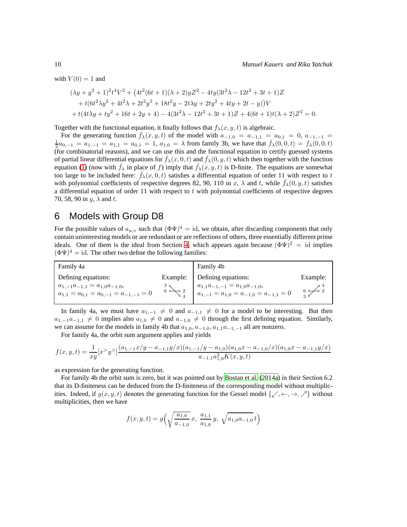with  $V(0) = 1$  and

$$
(\lambda y + y^2 + 1)^2 t^4 V^2 + (4t^2 (6t + 1)(\lambda + 2) y Z^2 - 4ty (3t^2 \lambda - 12t^2 + 3t + 1) Z + t (6t^2 \lambda y^2 + 4t^2 \lambda + 2t^2 y^3 + 18t^2 y - 2t \lambda y + 2ty^2 + 4ty + 2t - y)) V + t (4t \lambda y + ty^2 + 16t + 2y + 4) - 4(3t^2 \lambda - 12t^2 + 3t + 1) Z + 4(6t + 1)t(\lambda + 2) Z^2 = 0.
$$

Together with the functional equation, it finally follows that  $f_{\lambda}(x, y, t)$  is algebraic.

For the generating function  $f_{\lambda}(x, y, t)$  of the model with  $a_{-1,0} = a_{-1,1} = a_{0,1} = 0$ ,  $a_{-1,-1} = a_{-1,0}$  $\frac{1}{2}a_{0,-1} = a_{1,-1} = a_{1,1} = a_{0,1} = 1$ ,  $a_{1,0} = \lambda$  from family 3b, we have that  $\bar{f}_{\lambda}(0,0,t) = f_{\lambda}(0,0,t)$ (for combinatorial reasons), and we can use this and the functional equation to certify guessed systems of partial linear differential equations for  $f_{\lambda}(x, 0, t)$  and  $f_{\lambda}(0, y, t)$  which then together with the function equation [\(1\)](#page-1-0) (now with  $\bar{f}_{\lambda}$  in place of f) imply that  $\bar{f}_{\lambda}(x, y, t)$  is D-finite. The equations are somewhat too large to be included here:  $\bar{f}_{\lambda}(x, 0, t)$  satisfies a differential equation of order 11 with respect to t with polynomial coefficients of respective degrees 82, 90, 110 in x,  $\lambda$  and t, while  $\bar{f}_{\lambda}(0, y, t)$  satisfies a differential equation of order 11 with respect to t with polynomial coefficients of respective degrees 70, 58, 90 in  $y$ ,  $\lambda$  and  $t$ .

# 6 Models with Group D8

For the possible values of  $a_{u,v}$  such that  $(\Phi \Psi)^4 = id$ , we obtain, after discarding components that only contain uninteresting models or are redundant or are reflections of others, three essentially different prime ideals. One of them is the ideal from Section [4,](#page-3-0) which appears again because  $(\Phi \Psi)^2 = id$  implies  $(\Phi \Psi)^4 = id$ . The other two define the following families:

| Family 4a                                                                               |          | Family 4b                                                                               |          |
|-----------------------------------------------------------------------------------------|----------|-----------------------------------------------------------------------------------------|----------|
| Defining equations:                                                                     | Example: | Defining equations:                                                                     | Example: |
| $a_{1,-1}a_{-1,1} = a_{1,0}a_{-1,0},$<br>$a_{1,1} = a_{0,1} = a_{0,-1} = a_{-1,-1} = 0$ |          | $a_{1,1}a_{-1,-1} = a_{1,0}a_{-1,0},$<br>$a_{1,-1} = a_{1,0} = a_{-1,0} = a_{-1,1} = 0$ |          |

In family 4a, we must have  $a_{1,-1} \neq 0$  and  $a_{-1,1} \neq 0$  for a model to be interesting. But then  $a_{1,-1}a_{-1,1} \neq 0$  implies also  $a_{1,0} \neq 0$  and  $a_{-1,0} \neq 0$  through the first defining equation. Similarly, we can assume for the models in family 4b that  $a_{1,0}, a_{-1,0}, a_{1,1}a_{-1,-1}$  all are nonzero.

For family 4a, the orbit sum argument applies and yields

$$
f(x,y,t) = \frac{1}{xy} [x^y y^y] \frac{(a_{1,-1}x/y - a_{-1,1}y/x)(a_{1,-1}/y - a_{1,0})(a_{1,0}x - a_{-1,0}/x)(a_{1,0}x - a_{-1,1}y/x)}{a_{-1,1}a_{1,0}^3 K(x,y,t)}
$$

as expression for the generating function.

For family 4b the orbit sum is zero, but it was pointed out by [Bostan et al.](#page-11-6) [\(2014a](#page-11-6)) in their Section 6.2 that its D-finiteness can be deduced from the D-finiteness of the corresponding model without multiplicities. Indeed, if  $g(x, y, t)$  denotes the generating function for the Gessel model  $\{\swarrow, \leftarrow, \rightarrow, \nearrow\}$  without multiplicities, then we have

$$
f(x, y, t) = g\left(\sqrt{\frac{a_{1,0}}{a_{-1,0}}}x, \frac{a_{1,1}}{a_{1,0}}y, \sqrt{a_{1,0}a_{-1,0}}t\right)
$$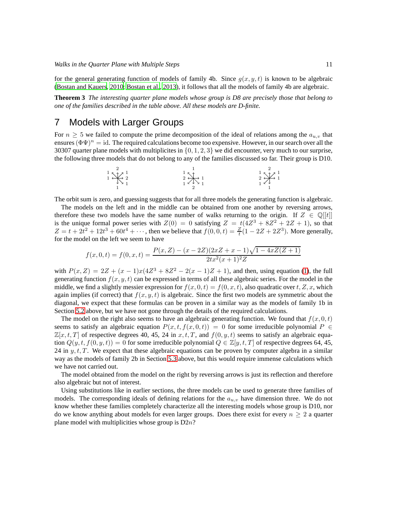for the general generating function of models of family 4b. Since  $q(x, y, t)$  is known to be algebraic [\(Bostan and Kauers, 2010;](#page-11-1) [Bostan et al.](#page-11-2), [2013](#page-11-2)), it follows that all the models of family 4b are algebraic.

**Theorem 3** *The interesting quarter plane models whose group is D8 are precisely those that belong to one of the families described in the table above. All these models are D-finite.*

# 7 Models with Larger Groups

For  $n \geq 5$  we failed to compute the prime decomposition of the ideal of relations among the  $a_{u,v}$  that ensures  $(\Phi \Psi)^n = id$ . The required calculations become too expensive. However, in our search over all the 30307 quarter plane models with multiplicites in  $\{0, 1, 2, 3\}$  we did encounter, very much to our surprise, the following three models that do not belong to any of the families discussed so far. Their group is D10.

1 1 2 1 2 1 1 1 2 1 1 1 1 2 1 2 1 2 1 1 1

The orbit sum is zero, and guessing suggests that for all three models the generating function is algebraic.

The models on the left and in the middle can be obtained from one another by reversing arrows, therefore these two models have the same number of walks returning to the origin. If  $Z \in \mathbb{Q}[[t]]$ is the unique formal power series with  $Z(0) = 0$  satisfying  $Z = t(4Z^3 + 8Z^2 + 2Z + 1)$ , so that  $Z = t + 2t^2 + 12t^3 + 60t^4 + \cdots$ , then we believe that  $f(0, 0, t) = \frac{Z}{t}(1 - 2Z + 2Z^3)$ . More generally, for the model on the left we seem to have

$$
f(x,0,t) = f(0,x,t) = \frac{P(x,Z) - (x - 2Z)(2xZ + x - 1)\sqrt{1 - 4xZ(Z + 1)}}{2tx^2(x+1)^2Z}
$$

with  $P(x, Z) = 2Z + (x - 1)x(4Z^3 + 8Z^2 - 2(x - 1)Z + 1)$ , and then, using equation [\(1\)](#page-1-0), the full generating function  $f(x, y, t)$  can be expressed in terms of all these algebraic series. For the model in the middle, we find a slightly messier expression for  $f(x, 0, t) = f(0, x, t)$ , also quadratic over t, Z, x, which again implies (if correct) that  $f(x, y, t)$  is algebraic. Since the first two models are symmetric about the diagonal, we expect that these formulas can be proven in a similar way as the models of family 1b in Section [5.2](#page-6-0) above, but we have not gone through the details of the required calculations.

The model on the right also seems to have an algebraic generating function. We found that  $f(x, 0, t)$ seems to satisfy an algebraic equation  $P(x, t, f(x, 0, t)) = 0$  for some irreducible polynomial  $P \in$  $\mathbb{Z}[x, t, T]$  of respective degrees 40, 45, 24 in  $x, t, T$ , and  $f(0, y, t)$  seems to satisfy an algebraic equation  $Q(y, t, f(0, y, t)) = 0$  for some irreducible polynomial  $Q \in \mathbb{Z}[y, t, T]$  of respective degrees 64, 45, 24 in  $y, t, T$ . We expect that these algebraic equations can be proven by computer algebra in a similar way as the models of family 2b in Section [5.3](#page-8-0) above, but this would require immense calculations which we have not carried out.

The model obtained from the model on the right by reversing arrows is just its reflection and therefore also algebraic but not of interest.

Using substitutions like in earlier sections, the three models can be used to generate three families of models. The corresponding ideals of defining relations for the  $a_{u,v}$  have dimension three. We do not know whether these families completely characterize all the interesting models whose group is D10, nor do we know anything about models for even larger groups. Does there exist for every  $n \geq 2$  a quarter plane model with multiplicities whose group is  $D2n$ ?